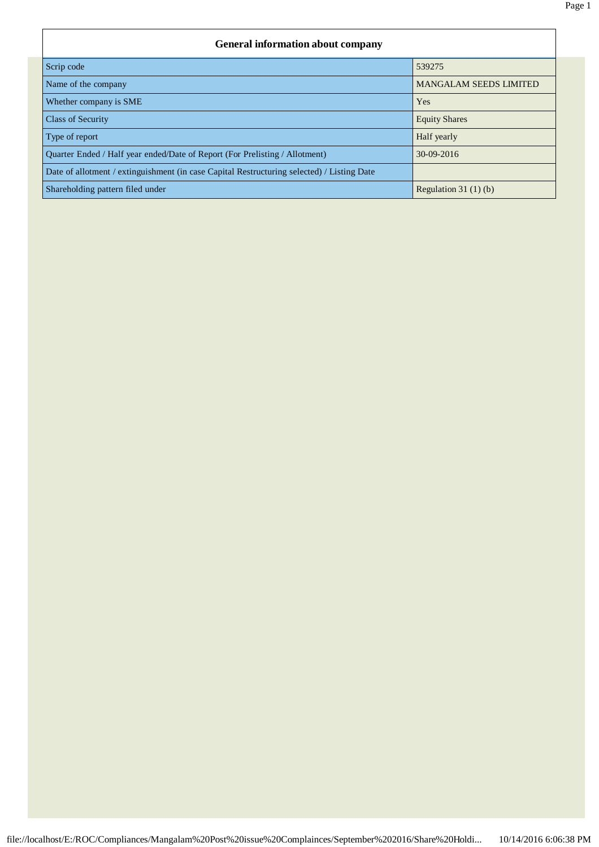## **General information about company** Scrip code 539275 Name of the company MANGALAM SEEDS LIMITED Whether company is SME Yes **Class of Security** Equity Shares **Class of Security** Equity Shares **Equity Shares** Type of report **Half yearly** Quarter Ended / Half year ended/Date of Report (For Prelisting / Allotment) 30-09-2016 Date of allotment / extinguishment (in case Capital Restructuring selected) / Listing Date Shareholding pattern filed under  $\left[\frac{1}{10}\right]$  Regulation 31 (1) (b)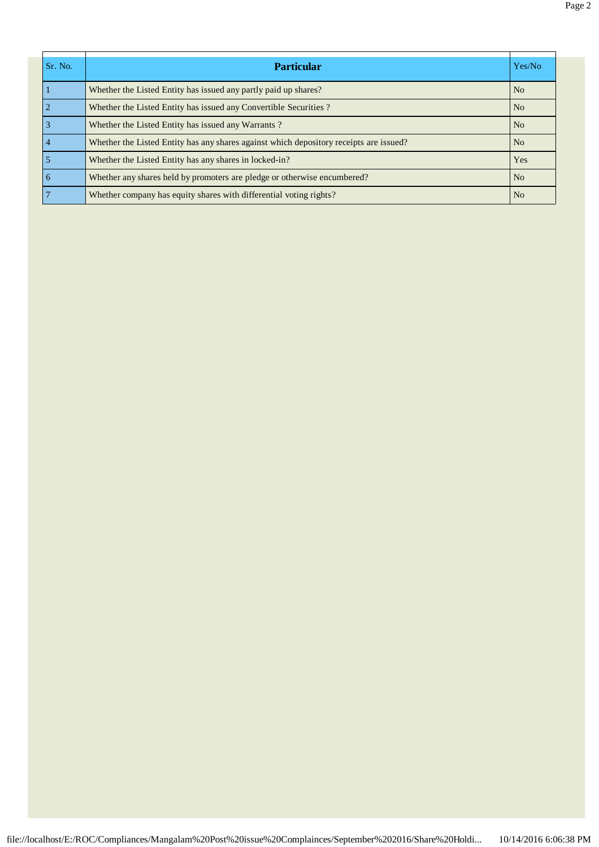| Sr. No.         | <b>Particular</b>                                                                      | Yes/No         |
|-----------------|----------------------------------------------------------------------------------------|----------------|
|                 | Whether the Listed Entity has issued any partly paid up shares?                        | N <sub>0</sub> |
| $\overline{2}$  | Whether the Listed Entity has issued any Convertible Securities?                       | N <sub>o</sub> |
| $\vert$ 3       | Whether the Listed Entity has issued any Warrants?                                     | N <sub>o</sub> |
| $\overline{4}$  | Whether the Listed Entity has any shares against which depository receipts are issued? | N <sub>0</sub> |
| $\overline{5}$  | Whether the Listed Entity has any shares in locked-in?                                 | Yes            |
| $6\overline{6}$ | Whether any shares held by promoters are pledge or otherwise encumbered?               | No             |
| $7\overline{7}$ | Whether company has equity shares with differential voting rights?                     | N <sub>0</sub> |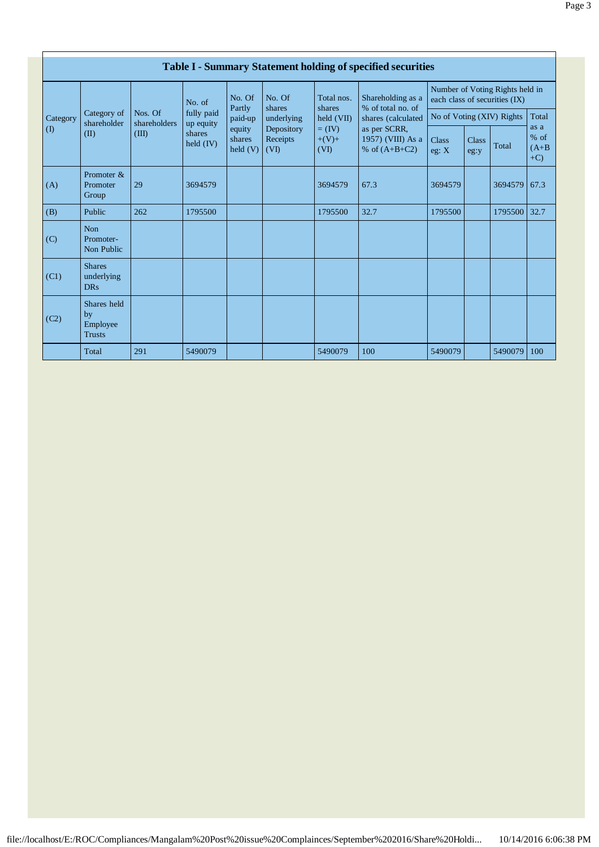|                           |                                                |                         |                         |                                                           |                                                        |                                                                   | <b>Table I - Summary Statement holding of specified securities</b>                                                   |                                                                  |               |              |                                     |
|---------------------------|------------------------------------------------|-------------------------|-------------------------|-----------------------------------------------------------|--------------------------------------------------------|-------------------------------------------------------------------|----------------------------------------------------------------------------------------------------------------------|------------------------------------------------------------------|---------------|--------------|-------------------------------------|
|                           |                                                |                         | No. of                  | No. Of                                                    | No. Of                                                 | Total nos.<br>shares<br>held (VII)<br>$=$ (IV)<br>$+(V)+$<br>(VI) | Shareholding as a<br>% of total no. of<br>shares (calculated<br>as per SCRR,<br>1957) (VIII) As a<br>% of $(A+B+C2)$ | Number of Voting Rights held in<br>each class of securities (IX) |               |              |                                     |
| Category                  | Category of<br>shareholder                     | Nos. Of<br>shareholders | fully paid<br>up equity | Partly<br>paid-up<br>equity<br>shares<br>$\text{held}(V)$ | shares<br>underlying<br>Depository<br>Receipts<br>(VI) |                                                                   |                                                                                                                      | No of Voting (XIV) Rights                                        |               |              | Total                               |
| $\overline{(\mathrm{I})}$ | (II)                                           | (III)                   | shares<br>held $(IV)$   |                                                           |                                                        |                                                                   |                                                                                                                      | <b>Class</b><br>eg: $X$                                          | Class<br>eg:y | Total        | as a<br>$%$ of<br>$(A+B)$<br>$+C$ ) |
| (A)                       | Promoter &<br>Promoter<br>Group                | 29                      | 3694579                 |                                                           |                                                        | 3694579                                                           | 67.3                                                                                                                 | 3694579                                                          |               | 3694579      | 67.3                                |
| (B)                       | Public                                         | 262                     | 1795500                 |                                                           |                                                        | 1795500                                                           | 32.7                                                                                                                 | 1795500                                                          |               | 1795500 32.7 |                                     |
| (C)                       | <b>Non</b><br>Promoter-<br>Non Public          |                         |                         |                                                           |                                                        |                                                                   |                                                                                                                      |                                                                  |               |              |                                     |
| (C1)                      | <b>Shares</b><br>underlying<br><b>DRs</b>      |                         |                         |                                                           |                                                        |                                                                   |                                                                                                                      |                                                                  |               |              |                                     |
| (C2)                      | Shares held<br>by<br>Employee<br><b>Trusts</b> |                         |                         |                                                           |                                                        |                                                                   |                                                                                                                      |                                                                  |               |              |                                     |
|                           | Total                                          | 291                     | 5490079                 |                                                           |                                                        | 5490079                                                           | 100                                                                                                                  | 5490079                                                          |               | 5490079      | 100                                 |

file://localhost/E:/ROC/Compliances/Mangalam%20Post%20issue%20Complainces/September%202016/Share%20Holdi... 10/14/2016 6:06:38 PM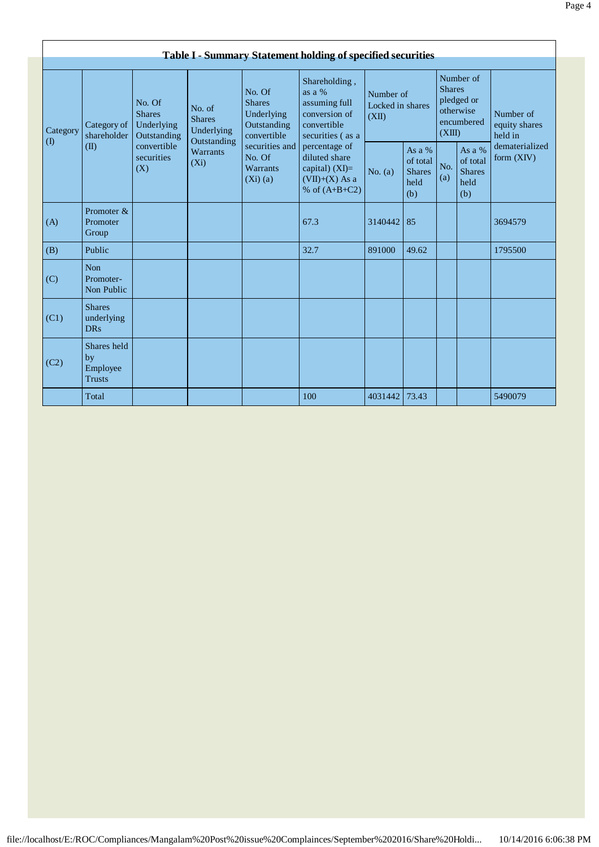|                                        | <b>Table I - Summary Statement holding of specified securities</b> |                                                      |                                                      |                                                                     |                                                                                                                                                                                             |                                        |                                                      |                                                                               |                                                    |                                       |  |  |
|----------------------------------------|--------------------------------------------------------------------|------------------------------------------------------|------------------------------------------------------|---------------------------------------------------------------------|---------------------------------------------------------------------------------------------------------------------------------------------------------------------------------------------|----------------------------------------|------------------------------------------------------|-------------------------------------------------------------------------------|----------------------------------------------------|---------------------------------------|--|--|
| Category<br>$\left( \mathrm{I}\right)$ | Category of<br>shareholder                                         | No. Of<br><b>Shares</b><br>Underlying<br>Outstanding | No. of<br><b>Shares</b><br>Underlying<br>Outstanding | No. Of<br><b>Shares</b><br>Underlying<br>Outstanding<br>convertible | Shareholding,<br>as a $%$<br>assuming full<br>conversion of<br>convertible<br>securities (as a<br>percentage of<br>diluted share<br>capital) $(XI)=$<br>$(VII)+(X)$ As a<br>% of $(A+B+C2)$ | Number of<br>Locked in shares<br>(XII) |                                                      | Number of<br><b>Shares</b><br>pledged or<br>otherwise<br>encumbered<br>(XIII) |                                                    | Number of<br>equity shares<br>held in |  |  |
|                                        | (II)                                                               | convertible<br>securities<br>(X)                     | Warrants<br>$(X_i)$                                  | securities and<br>No. Of<br>Warrants<br>$(Xi)$ (a)                  |                                                                                                                                                                                             | No. $(a)$                              | As a $%$<br>of total<br><b>Shares</b><br>held<br>(b) | No.<br>(a)                                                                    | As a %<br>of total<br><b>Shares</b><br>held<br>(b) | dematerialized<br>form (XIV)          |  |  |
| (A)                                    | Promoter &<br>Promoter<br>Group                                    |                                                      |                                                      |                                                                     | 67.3                                                                                                                                                                                        | 3140442                                | 85                                                   |                                                                               |                                                    | 3694579                               |  |  |
| (B)                                    | Public                                                             |                                                      |                                                      |                                                                     | 32.7                                                                                                                                                                                        | 891000                                 | 49.62                                                |                                                                               |                                                    | 1795500                               |  |  |
| (C)                                    | <b>Non</b><br>Promoter-<br>Non Public                              |                                                      |                                                      |                                                                     |                                                                                                                                                                                             |                                        |                                                      |                                                                               |                                                    |                                       |  |  |
| (C1)                                   | <b>Shares</b><br>underlying<br><b>DRs</b>                          |                                                      |                                                      |                                                                     |                                                                                                                                                                                             |                                        |                                                      |                                                                               |                                                    |                                       |  |  |
| (C2)                                   | Shares held<br>by<br>Employee<br><b>Trusts</b>                     |                                                      |                                                      |                                                                     |                                                                                                                                                                                             |                                        |                                                      |                                                                               |                                                    |                                       |  |  |
|                                        | Total                                                              |                                                      |                                                      |                                                                     | 100                                                                                                                                                                                         | 4031442 73.43                          |                                                      |                                                                               |                                                    | 5490079                               |  |  |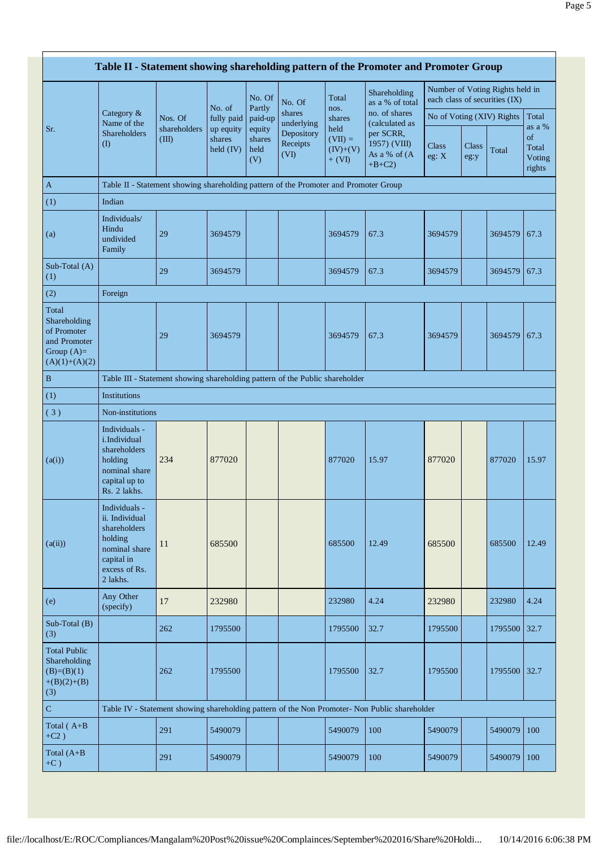|                                                                                         |                                                                                                                        |                       |                                  |                                 |                                |                                             | Table II - Statement showing shareholding pattern of the Promoter and Promoter Group |                           |               |                                                                  |                                           |
|-----------------------------------------------------------------------------------------|------------------------------------------------------------------------------------------------------------------------|-----------------------|----------------------------------|---------------------------------|--------------------------------|---------------------------------------------|--------------------------------------------------------------------------------------|---------------------------|---------------|------------------------------------------------------------------|-------------------------------------------|
|                                                                                         |                                                                                                                        |                       |                                  | No. Of                          | No. Of                         | Total                                       | Shareholding<br>as a % of total                                                      |                           |               | Number of Voting Rights held in<br>each class of securities (IX) |                                           |
|                                                                                         | Category $\&$<br>Name of the                                                                                           | Nos. Of               | No. of<br>fully paid             | Partly<br>paid-up               | shares<br>underlying           | nos.<br>shares                              | no. of shares<br>(calculated as                                                      | No of Voting (XIV) Rights |               |                                                                  | Total                                     |
| Sr.                                                                                     | Shareholders<br>$\left( \mathrm{I}\right)$                                                                             | shareholders<br>(III) | up equity<br>shares<br>held (IV) | equity<br>shares<br>held<br>(V) | Depository<br>Receipts<br>(VI) | held<br>$(VII) =$<br>$(IV)+(V)$<br>$+ (VI)$ | per SCRR,<br>1957) (VIII)<br>As a % of (A<br>$+B+C2$ )                               | <b>Class</b><br>eg: X     | Class<br>eg:y | Total                                                            | as a %<br>of<br>Total<br>Voting<br>rights |
| $\mathbf{A}$                                                                            | Table II - Statement showing shareholding pattern of the Promoter and Promoter Group                                   |                       |                                  |                                 |                                |                                             |                                                                                      |                           |               |                                                                  |                                           |
| (1)                                                                                     | Indian                                                                                                                 |                       |                                  |                                 |                                |                                             |                                                                                      |                           |               |                                                                  |                                           |
| (a)                                                                                     | Individuals/<br>Hindu<br>undivided<br>Family                                                                           | 29                    | 3694579                          |                                 |                                | 3694579                                     | 67.3                                                                                 | 3694579                   |               | 3694579                                                          | 67.3                                      |
| Sub-Total (A)<br>(1)                                                                    |                                                                                                                        | 29                    | 3694579                          |                                 |                                | 3694579                                     | 67.3                                                                                 | 3694579                   |               | 3694579                                                          | 67.3                                      |
| (2)                                                                                     | Foreign                                                                                                                |                       |                                  |                                 |                                |                                             |                                                                                      |                           |               |                                                                  |                                           |
| Total<br>Shareholding<br>of Promoter<br>and Promoter<br>Group $(A)=$<br>$(A)(1)+(A)(2)$ |                                                                                                                        | 29                    | 3694579                          |                                 |                                | 3694579                                     | 67.3                                                                                 | 3694579                   |               | 3694579                                                          | 67.3                                      |
| B                                                                                       | Table III - Statement showing shareholding pattern of the Public shareholder                                           |                       |                                  |                                 |                                |                                             |                                                                                      |                           |               |                                                                  |                                           |
| (1)                                                                                     | <b>Institutions</b>                                                                                                    |                       |                                  |                                 |                                |                                             |                                                                                      |                           |               |                                                                  |                                           |
| (3)                                                                                     | Non-institutions                                                                                                       |                       |                                  |                                 |                                |                                             |                                                                                      |                           |               |                                                                  |                                           |
| (a(i))                                                                                  | Individuals -<br><i>i.Individual</i><br>shareholders<br>holding<br>nominal share<br>capital up to<br>Rs. 2 lakhs.      | 234                   | 877020                           |                                 |                                | 877020                                      | 15.97                                                                                | 877020                    |               | 877020                                                           | 15.97                                     |
| (a(ii))                                                                                 | Individuals -<br>ii. Individual<br>shareholders<br>holding<br>nominal share<br>capital in<br>excess of Rs.<br>2 lakhs. | 11                    | 685500                           |                                 |                                | 685500                                      | 12.49                                                                                | 685500                    |               | 685500                                                           | 12.49                                     |
| (e)                                                                                     | Any Other<br>(specify)                                                                                                 | 17                    | 232980                           |                                 |                                | 232980                                      | 4.24                                                                                 | 232980                    |               | 232980                                                           | 4.24                                      |
| Sub-Total (B)<br>(3)                                                                    |                                                                                                                        | 262                   | 1795500                          |                                 |                                | 1795500                                     | 32.7                                                                                 | 1795500                   |               | 1795500                                                          | 32.7                                      |
| <b>Total Public</b><br>Shareholding<br>$(B)=(B)(1)$<br>$+(B)(2)+(B)$<br>(3)             |                                                                                                                        | 262                   | 1795500                          |                                 |                                | 1795500                                     | 32.7                                                                                 | 1795500                   |               | 1795500 32.7                                                     |                                           |
| ${\bf C}$                                                                               | Table IV - Statement showing shareholding pattern of the Non Promoter- Non Public shareholder                          |                       |                                  |                                 |                                |                                             |                                                                                      |                           |               |                                                                  |                                           |
| Total $(A+B)$<br>$+C2)$                                                                 |                                                                                                                        | 291                   | 5490079                          |                                 |                                | 5490079                                     | 100                                                                                  | 5490079                   |               | 5490079                                                          | 100                                       |
| Total $(A+B)$<br>$+C$ )                                                                 |                                                                                                                        | 291                   | 5490079                          |                                 |                                | 5490079                                     | 100                                                                                  | 5490079                   |               | 5490079                                                          | 100                                       |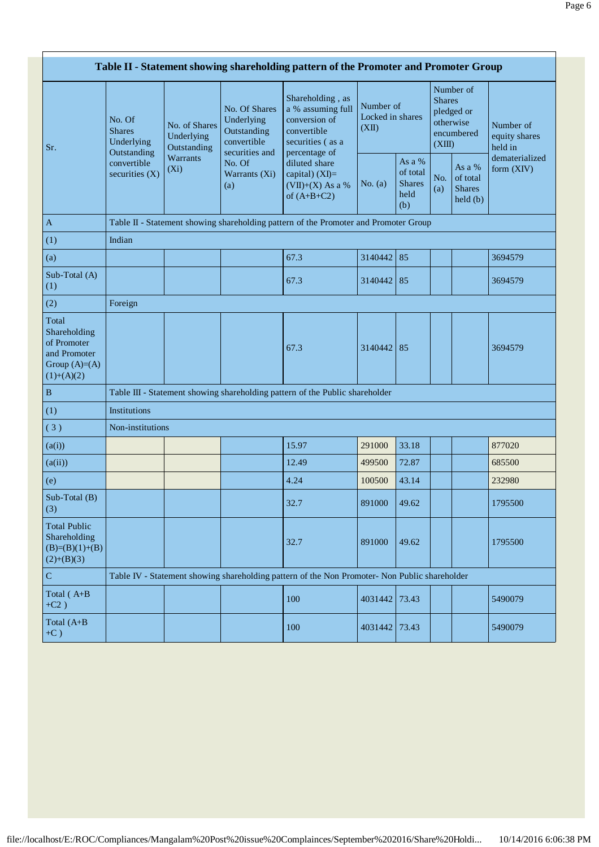|                                                                                        |                                                                                               |                                            |                                                                             | Table II - Statement showing shareholding pattern of the Promoter and Promoter Group                       |           |                                                    |            |                                                                               |                                       |  |  |
|----------------------------------------------------------------------------------------|-----------------------------------------------------------------------------------------------|--------------------------------------------|-----------------------------------------------------------------------------|------------------------------------------------------------------------------------------------------------|-----------|----------------------------------------------------|------------|-------------------------------------------------------------------------------|---------------------------------------|--|--|
| Sr.                                                                                    | No. Of<br><b>Shares</b><br>Underlying<br>Outstanding                                          | No. of Shares<br>Underlying<br>Outstanding | No. Of Shares<br>Underlying<br>Outstanding<br>convertible<br>securities and | Shareholding, as<br>a % assuming full<br>conversion of<br>convertible<br>securities (as a<br>percentage of | (XII)     | Number of<br>Locked in shares                      |            | Number of<br><b>Shares</b><br>pledged or<br>otherwise<br>encumbered<br>(XIII) | Number of<br>equity shares<br>held in |  |  |
|                                                                                        | convertible<br>securities $(X)$                                                               | Warrants<br>$(X_i)$                        | No. Of<br>Warrants (Xi)<br>(a)                                              | diluted share<br>capital) $(XI)=$<br>$(VII)+(X)$ As a %<br>of $(A+B+C2)$                                   | No. $(a)$ | As a %<br>of total<br><b>Shares</b><br>held<br>(b) | No.<br>(a) | As a $%$<br>of total<br><b>Shares</b><br>held(b)                              | dematerialized<br>form $(XIV)$        |  |  |
| $\mathbf A$                                                                            |                                                                                               |                                            |                                                                             | Table II - Statement showing shareholding pattern of the Promoter and Promoter Group                       |           |                                                    |            |                                                                               |                                       |  |  |
| (1)                                                                                    | Indian                                                                                        |                                            |                                                                             |                                                                                                            |           |                                                    |            |                                                                               |                                       |  |  |
| (a)                                                                                    |                                                                                               |                                            |                                                                             | 67.3                                                                                                       | 3140442   | 85                                                 |            |                                                                               | 3694579                               |  |  |
| Sub-Total (A)<br>(1)                                                                   |                                                                                               |                                            |                                                                             | 67.3                                                                                                       | 3140442   | 85                                                 |            |                                                                               | 3694579                               |  |  |
| (2)                                                                                    | Foreign                                                                                       |                                            |                                                                             |                                                                                                            |           |                                                    |            |                                                                               |                                       |  |  |
| Total<br>Shareholding<br>of Promoter<br>and Promoter<br>Group $(A)=A)$<br>$(1)+(A)(2)$ |                                                                                               |                                            |                                                                             | 67.3                                                                                                       | 3140442   | 85                                                 |            |                                                                               | 3694579                               |  |  |
| $\, {\bf B}$                                                                           |                                                                                               |                                            |                                                                             | Table III - Statement showing shareholding pattern of the Public shareholder                               |           |                                                    |            |                                                                               |                                       |  |  |
| (1)                                                                                    | Institutions                                                                                  |                                            |                                                                             |                                                                                                            |           |                                                    |            |                                                                               |                                       |  |  |
| (3)                                                                                    | Non-institutions                                                                              |                                            |                                                                             |                                                                                                            |           |                                                    |            |                                                                               |                                       |  |  |
| (a(i))                                                                                 |                                                                                               |                                            |                                                                             | 15.97                                                                                                      | 291000    | 33.18                                              |            |                                                                               | 877020                                |  |  |
| (a(ii))                                                                                |                                                                                               |                                            |                                                                             | 12.49                                                                                                      | 499500    | 72.87                                              |            |                                                                               | 685500                                |  |  |
| (e)                                                                                    |                                                                                               |                                            |                                                                             | 4.24                                                                                                       | 100500    | 43.14                                              |            |                                                                               | 232980                                |  |  |
| $Sub-Total(B)$<br>(3)                                                                  |                                                                                               |                                            |                                                                             | 32.7                                                                                                       | 891000    | 49.62                                              |            |                                                                               | 1795500                               |  |  |
| <b>Total Public</b><br>Shareholding<br>$(B)=(B)(1)+(B)$<br>$(2)+(B)(3)$                |                                                                                               |                                            |                                                                             | 32.7                                                                                                       | 891000    | 49.62                                              |            |                                                                               | 1795500                               |  |  |
| $\mathbf C$                                                                            | Table IV - Statement showing shareholding pattern of the Non Promoter- Non Public shareholder |                                            |                                                                             |                                                                                                            |           |                                                    |            |                                                                               |                                       |  |  |
| Total (A+B<br>$+C2$ )                                                                  |                                                                                               |                                            |                                                                             | 100                                                                                                        | 4031442   | 73.43                                              |            |                                                                               | 5490079                               |  |  |
| Total (A+B<br>$+C$ )                                                                   |                                                                                               |                                            |                                                                             | 100                                                                                                        | 4031442   | 73.43                                              |            |                                                                               | 5490079                               |  |  |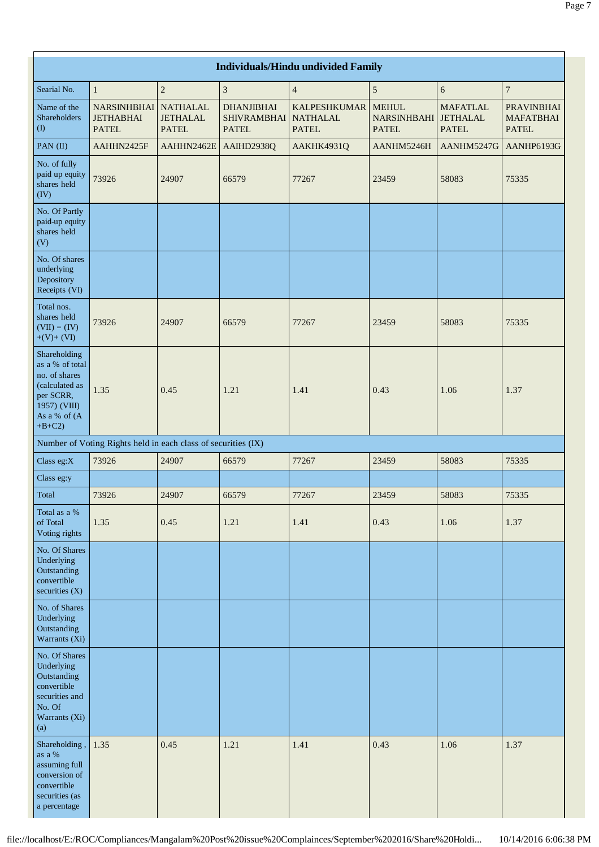|                                                                                                                            | <b>Individuals/Hindu undivided Family</b>                     |                                                    |                                                         |                                                        |                                                      |                                 |                                                       |  |  |  |  |  |
|----------------------------------------------------------------------------------------------------------------------------|---------------------------------------------------------------|----------------------------------------------------|---------------------------------------------------------|--------------------------------------------------------|------------------------------------------------------|---------------------------------|-------------------------------------------------------|--|--|--|--|--|
| Searial No.                                                                                                                | $\mathbf{1}$                                                  | $\sqrt{2}$                                         | $\overline{\mathbf{3}}$                                 | $\overline{4}$                                         | $\sqrt{5}$                                           | 6                               | $\boldsymbol{7}$                                      |  |  |  |  |  |
| Name of the<br>Shareholders<br>$\left( \mathrm{I}\right)$                                                                  | <b>NARSINHBHAI</b><br><b>JETHABHAI</b><br><b>PATEL</b>        | <b>NATHALAL</b><br><b>JETHALAL</b><br><b>PATEL</b> | <b>DHANJIBHAI</b><br><b>SHIVRAMBHAI</b><br><b>PATEL</b> | <b>KALPESHKUMAR</b><br><b>NATHALAL</b><br><b>PATEL</b> | <b>MEHUL</b><br>NARSINHBAHI JETHALAL<br><b>PATEL</b> | <b>MAFATLAL</b><br><b>PATEL</b> | <b>PRAVINBHAI</b><br><b>MAFATBHAI</b><br><b>PATEL</b> |  |  |  |  |  |
| PAN (II)                                                                                                                   | AAHHN2425F                                                    | AAHHN2462E                                         | AAIHD2938Q                                              | AAKHK4931Q                                             | AANHM5246H                                           | AANHM5247G                      | AANHP6193G                                            |  |  |  |  |  |
| No. of fully<br>paid up equity<br>shares held<br>(IV)                                                                      | 73926                                                         | 24907                                              | 66579                                                   | 77267                                                  | 23459                                                | 58083                           | 75335                                                 |  |  |  |  |  |
| No. Of Partly<br>paid-up equity<br>shares held<br>(V)                                                                      |                                                               |                                                    |                                                         |                                                        |                                                      |                                 |                                                       |  |  |  |  |  |
| No. Of shares<br>underlying<br>Depository<br>Receipts (VI)                                                                 |                                                               |                                                    |                                                         |                                                        |                                                      |                                 |                                                       |  |  |  |  |  |
| Total nos.<br>shares held<br>$(VII) = (IV)$<br>$+(V)+(VI)$                                                                 | 73926                                                         | 24907                                              | 66579                                                   | 77267                                                  | 23459                                                | 58083                           | 75335                                                 |  |  |  |  |  |
| Shareholding<br>as a % of total<br>no. of shares<br>(calculated as<br>per SCRR,<br>1957) (VIII)<br>As a % of (A<br>$+B+C2$ | 1.35                                                          | 0.45                                               | 1.21                                                    | 1.41                                                   | 0.43                                                 | 1.06                            | 1.37                                                  |  |  |  |  |  |
|                                                                                                                            | Number of Voting Rights held in each class of securities (IX) |                                                    |                                                         |                                                        |                                                      |                                 |                                                       |  |  |  |  |  |
| Class eg:X                                                                                                                 | 73926                                                         | 24907                                              | 66579                                                   | 77267                                                  | 23459                                                | 58083                           | 75335                                                 |  |  |  |  |  |
| Class eg:y                                                                                                                 |                                                               |                                                    |                                                         |                                                        |                                                      |                                 |                                                       |  |  |  |  |  |
| Total                                                                                                                      | 73926                                                         | 24907                                              | 66579                                                   | 77267                                                  | 23459                                                | 58083                           | 75335                                                 |  |  |  |  |  |
| Total as a %<br>of Total<br>Voting rights                                                                                  | 1.35                                                          | 0.45                                               | 1.21                                                    | 1.41                                                   | 0.43                                                 | 1.06                            | 1.37                                                  |  |  |  |  |  |
| No. Of Shares<br>Underlying<br>Outstanding<br>convertible<br>securities $(X)$                                              |                                                               |                                                    |                                                         |                                                        |                                                      |                                 |                                                       |  |  |  |  |  |
| No. of Shares<br>Underlying<br>Outstanding<br>Warrants (Xi)                                                                |                                                               |                                                    |                                                         |                                                        |                                                      |                                 |                                                       |  |  |  |  |  |
| No. Of Shares<br>Underlying<br>Outstanding<br>convertible<br>securities and<br>No. Of<br>Warrants (Xi)<br>(a)              |                                                               |                                                    |                                                         |                                                        |                                                      |                                 |                                                       |  |  |  |  |  |
| Shareholding,<br>as a %<br>assuming full<br>conversion of<br>convertible<br>securities (as<br>a percentage                 | 1.35                                                          | 0.45                                               | 1.21                                                    | 1.41                                                   | 0.43                                                 | 1.06                            | 1.37                                                  |  |  |  |  |  |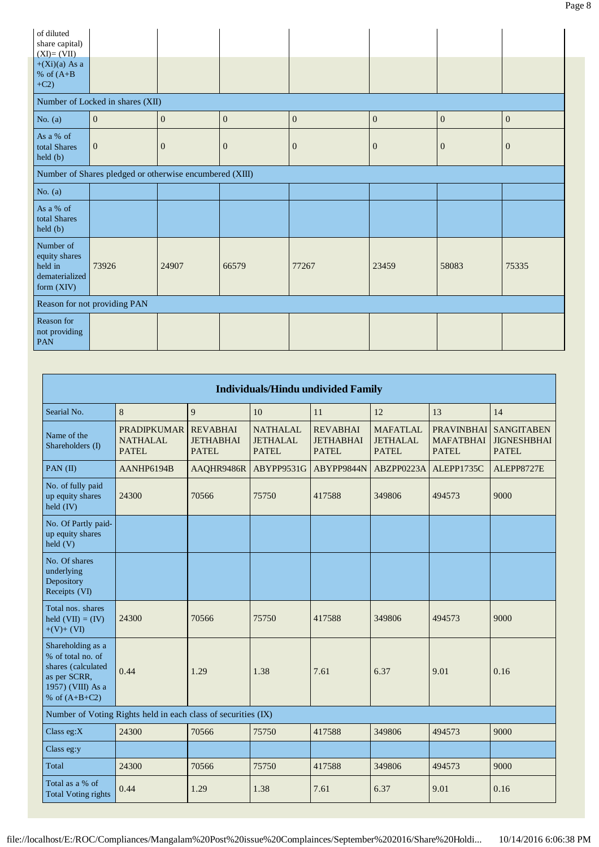| of diluted<br>share capital)<br>$(XI)=(VII)$                          |                                                         |              |                |              |                  |                |              |
|-----------------------------------------------------------------------|---------------------------------------------------------|--------------|----------------|--------------|------------------|----------------|--------------|
| $+(Xi)(a)$ As a<br>% of $(A+B)$<br>$+C2$                              |                                                         |              |                |              |                  |                |              |
|                                                                       | Number of Locked in shares (XII)                        |              |                |              |                  |                |              |
| No. $(a)$                                                             | $\overline{0}$                                          | $\mathbf{0}$ | $\mathbf{0}$   | $\mathbf{0}$ | $\boldsymbol{0}$ | $\overline{0}$ | $\mathbf{0}$ |
| As a % of<br>total Shares<br>held (b)                                 | $\overline{0}$                                          | $\mathbf{0}$ | $\overline{0}$ | $\mathbf{0}$ | $\mathbf{0}$     | $\mathbf{0}$   | $\mathbf{0}$ |
|                                                                       | Number of Shares pledged or otherwise encumbered (XIII) |              |                |              |                  |                |              |
| No. $(a)$                                                             |                                                         |              |                |              |                  |                |              |
| As a % of<br>total Shares<br>held (b)                                 |                                                         |              |                |              |                  |                |              |
| Number of<br>equity shares<br>held in<br>dematerialized<br>form (XIV) | 73926                                                   | 24907        | 66579          | 77267        | 23459            | 58083          | 75335        |
|                                                                       | Reason for not providing PAN                            |              |                |              |                  |                |              |
| Reason for<br>not providing<br>PAN                                    |                                                         |              |                |              |                  |                |              |

| <b>Individuals/Hindu undivided Family</b>                                                                            |                                                               |                                                     |                                                    |                                                     |                                                    |                                                       |                                                   |  |  |  |
|----------------------------------------------------------------------------------------------------------------------|---------------------------------------------------------------|-----------------------------------------------------|----------------------------------------------------|-----------------------------------------------------|----------------------------------------------------|-------------------------------------------------------|---------------------------------------------------|--|--|--|
| Searial No.                                                                                                          | 8                                                             | 9                                                   | 10                                                 | 11                                                  | 12                                                 | 13                                                    | 14                                                |  |  |  |
| Name of the<br>Shareholders (I)                                                                                      | <b>PRADIPKUMAR</b><br><b>NATHALAL</b><br><b>PATEL</b>         | <b>REVABHAI</b><br><b>JETHABHAI</b><br><b>PATEL</b> | <b>NATHALAL</b><br><b>JETHALAL</b><br><b>PATEL</b> | <b>REVABHAI</b><br><b>JETHABHAI</b><br><b>PATEL</b> | <b>MAFATLAL</b><br><b>JETHALAL</b><br><b>PATEL</b> | <b>PRAVINBHAI</b><br><b>MAFATBHAI</b><br><b>PATEL</b> | <b>SANGITABEN</b><br><b>JIGNESHBHAI</b><br>PATEL. |  |  |  |
| PAN $(II)$                                                                                                           | AANHP6194B                                                    | AAQHR9486R                                          | ABYPP9531G                                         | ABYPP9844N                                          | ABZPP0223A                                         | <b>ALEPP1735C</b>                                     | ALEPP8727E                                        |  |  |  |
| No. of fully paid<br>up equity shares<br>held $(IV)$                                                                 | 24300                                                         | 70566                                               | 75750                                              | 417588                                              | 349806                                             | 494573                                                | 9000                                              |  |  |  |
| No. Of Partly paid-<br>up equity shares<br>held (V)                                                                  |                                                               |                                                     |                                                    |                                                     |                                                    |                                                       |                                                   |  |  |  |
| No. Of shares<br>underlying<br>Depository<br>Receipts (VI)                                                           |                                                               |                                                     |                                                    |                                                     |                                                    |                                                       |                                                   |  |  |  |
| Total nos. shares<br>held $(VII) = (IV)$<br>$+(V)+(VI)$                                                              | 24300                                                         | 70566                                               | 75750                                              | 417588                                              | 349806                                             | 494573                                                | 9000                                              |  |  |  |
| Shareholding as a<br>% of total no. of<br>shares (calculated<br>as per SCRR,<br>1957) (VIII) As a<br>% of $(A+B+C2)$ | 0.44                                                          | 1.29                                                | 1.38                                               | 7.61                                                | 6.37                                               | 9.01                                                  | 0.16                                              |  |  |  |
|                                                                                                                      | Number of Voting Rights held in each class of securities (IX) |                                                     |                                                    |                                                     |                                                    |                                                       |                                                   |  |  |  |
| Class eg: $X$                                                                                                        | 24300                                                         | 70566                                               | 75750                                              | 417588                                              | 349806                                             | 494573                                                | 9000                                              |  |  |  |
| Class eg:y                                                                                                           |                                                               |                                                     |                                                    |                                                     |                                                    |                                                       |                                                   |  |  |  |
| Total                                                                                                                | 24300                                                         | 70566                                               | 75750                                              | 417588                                              | 349806                                             | 494573                                                | 9000                                              |  |  |  |
| Total as a % of<br><b>Total Voting rights</b>                                                                        | 0.44                                                          | 1.29                                                | 1.38                                               | 7.61                                                | 6.37                                               | 9.01                                                  | 0.16                                              |  |  |  |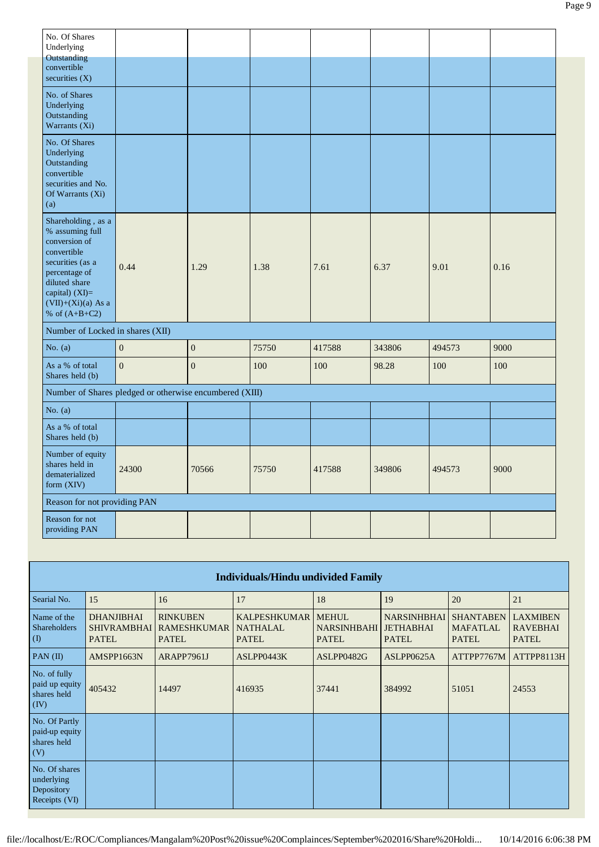| No. Of Shares<br>Underlying                                                                                                                                                               |                                                         |              |       |        |        |        |      |
|-------------------------------------------------------------------------------------------------------------------------------------------------------------------------------------------|---------------------------------------------------------|--------------|-------|--------|--------|--------|------|
| Outstanding<br>convertible                                                                                                                                                                |                                                         |              |       |        |        |        |      |
| securities $(X)$                                                                                                                                                                          |                                                         |              |       |        |        |        |      |
| No. of Shares<br>Underlying<br>Outstanding<br>Warrants (Xi)                                                                                                                               |                                                         |              |       |        |        |        |      |
| No. Of Shares<br>Underlying<br>Outstanding<br>convertible<br>securities and No.<br>Of Warrants (Xi)<br>(a)                                                                                |                                                         |              |       |        |        |        |      |
| Shareholding , as a<br>% assuming full<br>conversion of<br>convertible<br>securities (as a<br>percentage of<br>diluted share<br>capital) (XI)=<br>$(VII)+(Xi)(a)$ As a<br>% of $(A+B+C2)$ | 0.44                                                    | 1.29         | 1.38  | 7.61   | 6.37   | 9.01   | 0.16 |
| Number of Locked in shares (XII)                                                                                                                                                          |                                                         |              |       |        |        |        |      |
| No. $(a)$                                                                                                                                                                                 | $\overline{0}$                                          | $\mathbf{0}$ | 75750 | 417588 | 343806 | 494573 | 9000 |
| As a % of total<br>Shares held (b)                                                                                                                                                        | $\overline{0}$                                          | $\mathbf{0}$ | 100   | 100    | 98.28  | 100    | 100  |
|                                                                                                                                                                                           | Number of Shares pledged or otherwise encumbered (XIII) |              |       |        |        |        |      |
| No. $(a)$                                                                                                                                                                                 |                                                         |              |       |        |        |        |      |
| As a % of total<br>Shares held (b)                                                                                                                                                        |                                                         |              |       |        |        |        |      |
| Number of equity<br>shares held in<br>dematerialized<br>form (XIV)                                                                                                                        | 24300                                                   | 70566        | 75750 | 417588 | 349806 | 494573 | 9000 |
| Reason for not providing PAN                                                                                                                                                              |                                                         |              |       |        |        |        |      |
| Reason for not<br>providing PAN                                                                                                                                                           |                                                         |              |       |        |        |        |      |

|                                                            | <b>Individuals/Hindu undivided Family</b>               |                                                       |                                                        |                                                    |                                                        |                                                     |                                                    |  |  |  |  |  |
|------------------------------------------------------------|---------------------------------------------------------|-------------------------------------------------------|--------------------------------------------------------|----------------------------------------------------|--------------------------------------------------------|-----------------------------------------------------|----------------------------------------------------|--|--|--|--|--|
| Searial No.                                                | 15                                                      | 16                                                    | 17                                                     | 18                                                 | 19                                                     | 20                                                  | 21                                                 |  |  |  |  |  |
| Name of the<br>Shareholders<br>$\left( \mathbf{I}\right)$  | <b>DHANJIBHAI</b><br><b>SHIVRAMBHAI</b><br><b>PATEL</b> | <b>RINKUBEN</b><br><b>RAMESHKUMAR</b><br><b>PATEL</b> | <b>KALPESHKUMAR</b><br><b>NATHALAL</b><br><b>PATEL</b> | <b>MEHUL</b><br><b>NARSINHBAHI</b><br><b>PATEL</b> | <b>NARSINHBHAI</b><br><b>JETHABHAI</b><br><b>PATEL</b> | <b>SHANTABEN</b><br><b>MAFATLAL</b><br><b>PATEL</b> | <b>LAXMIBEN</b><br><b>RAVEBHAI</b><br><b>PATEL</b> |  |  |  |  |  |
| $PAN$ (II)                                                 | AMSPP1663N                                              | ARAPP7961J                                            | ASLPP0443K                                             | ASLPP0482G                                         | ASLPP0625A                                             | ATTPP7767M                                          | ATTPP8113H                                         |  |  |  |  |  |
| No. of fully<br>paid up equity<br>shares held<br>(IV)      | 405432                                                  | 14497                                                 | 416935                                                 | 37441                                              | 384992                                                 | 51051                                               | 24553                                              |  |  |  |  |  |
| No. Of Partly<br>paid-up equity<br>shares held<br>(V)      |                                                         |                                                       |                                                        |                                                    |                                                        |                                                     |                                                    |  |  |  |  |  |
| No. Of shares<br>underlying<br>Depository<br>Receipts (VI) |                                                         |                                                       |                                                        |                                                    |                                                        |                                                     |                                                    |  |  |  |  |  |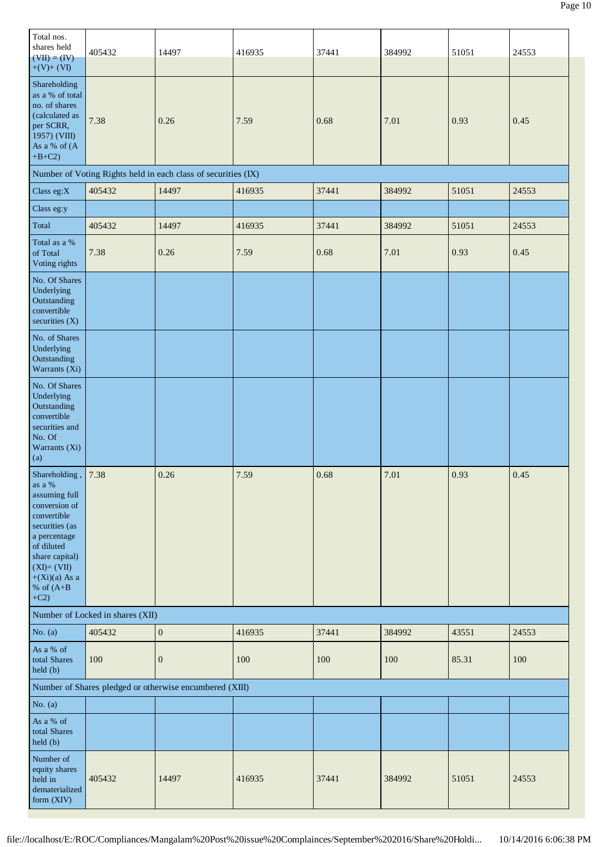| Total nos.<br>shares held<br>$(VII) = (IV)$<br>$+(V)+(VI)$                                                                                                                                             | 405432                           | 14497                                                         | 416935 | 37441 | 384992 | 51051 | 24553 |
|--------------------------------------------------------------------------------------------------------------------------------------------------------------------------------------------------------|----------------------------------|---------------------------------------------------------------|--------|-------|--------|-------|-------|
| Shareholding<br>as a % of total<br>no. of shares<br>(calculated as<br>per SCRR,<br>1957) (VIII)<br>As a % of (A<br>$+B+C2$ )                                                                           | 7.38                             | 0.26                                                          | 7.59   | 0.68  | 7.01   | 0.93  | 0.45  |
|                                                                                                                                                                                                        |                                  | Number of Voting Rights held in each class of securities (IX) |        |       |        |       |       |
| Class eg: $X$                                                                                                                                                                                          | 405432                           | 14497                                                         | 416935 | 37441 | 384992 | 51051 | 24553 |
| Class eg:y                                                                                                                                                                                             |                                  |                                                               |        |       |        |       |       |
| Total                                                                                                                                                                                                  | 405432                           | 14497                                                         | 416935 | 37441 | 384992 | 51051 | 24553 |
| Total as a %<br>of Total<br>Voting rights                                                                                                                                                              | 7.38                             | 0.26                                                          | 7.59   | 0.68  | 7.01   | 0.93  | 0.45  |
| No. Of Shares<br>Underlying<br>Outstanding<br>convertible<br>securities (X)                                                                                                                            |                                  |                                                               |        |       |        |       |       |
| No. of Shares<br>Underlying<br>Outstanding<br>Warrants (Xi)                                                                                                                                            |                                  |                                                               |        |       |        |       |       |
| No. Of Shares<br>Underlying<br>Outstanding<br>convertible<br>securities and<br>No. Of<br>Warrants (Xi)<br>(a)                                                                                          |                                  |                                                               |        |       |        |       |       |
| Shareholding,<br>as a %<br>assuming full<br>conversion of<br>convertible<br>securities (as<br>a percentage<br>of diluted<br>share capital)<br>$(XI)=(VII)$<br>$+(Xi)(a)$ As a<br>% of $(A+B)$<br>$+C2$ | 7.38                             | 0.26                                                          | 7.59   | 0.68  | 7.01   | 0.93  | 0.45  |
|                                                                                                                                                                                                        | Number of Locked in shares (XII) |                                                               |        |       |        |       |       |
| No. $(a)$                                                                                                                                                                                              | 405432                           | $\boldsymbol{0}$                                              | 416935 | 37441 | 384992 | 43551 | 24553 |
| As a % of<br>total Shares<br>held (b)                                                                                                                                                                  | 100                              | $\mathbf{0}$                                                  | 100    | 100   | 100    | 85.31 | 100   |
|                                                                                                                                                                                                        |                                  | Number of Shares pledged or otherwise encumbered (XIII)       |        |       |        |       |       |
| No. $(a)$                                                                                                                                                                                              |                                  |                                                               |        |       |        |       |       |
| As a % of<br>total Shares<br>held (b)                                                                                                                                                                  |                                  |                                                               |        |       |        |       |       |
| Number of<br>equity shares<br>held in<br>dematerialized<br>form (XIV)                                                                                                                                  | 405432                           | 14497                                                         | 416935 | 37441 | 384992 | 51051 | 24553 |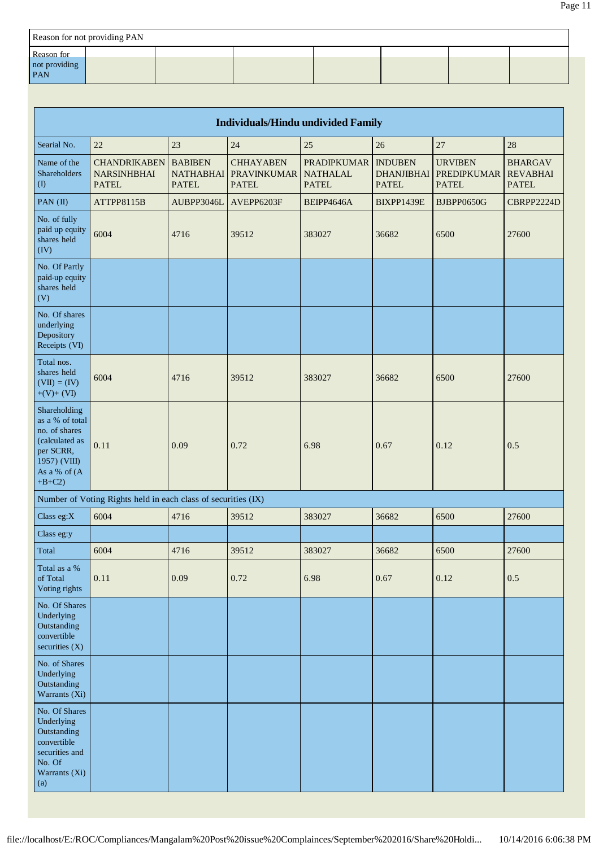| Reason for not providing PAN              |  |  |  |  |  |  |  |  |  |
|-------------------------------------------|--|--|--|--|--|--|--|--|--|
| <b>Reason</b> for<br>not providing<br>PAN |  |  |  |  |  |  |  |  |  |

| <b>Individuals/Hindu undivided Family</b>                                                                                    |                                                               |                                                    |                                                        |                                                       |                                                     |                                                      |                                                   |
|------------------------------------------------------------------------------------------------------------------------------|---------------------------------------------------------------|----------------------------------------------------|--------------------------------------------------------|-------------------------------------------------------|-----------------------------------------------------|------------------------------------------------------|---------------------------------------------------|
| Searial No.                                                                                                                  | 22                                                            | 23                                                 | 24                                                     | 25                                                    | 26                                                  | 27                                                   | 28                                                |
| Name of the<br>Shareholders<br>(1)                                                                                           | <b>CHANDRIKABEN</b><br><b>NARSINHBHAI</b><br><b>PATEL</b>     | <b>BABIBEN</b><br><b>NATHABHAI</b><br><b>PATEL</b> | <b>CHHAYABEN</b><br><b>PRAVINKUMAR</b><br><b>PATEL</b> | <b>PRADIPKUMAR</b><br><b>NATHALAL</b><br><b>PATEL</b> | <b>INDUBEN</b><br><b>DHANJIBHAI</b><br><b>PATEL</b> | <b>URVIBEN</b><br><b>PREDIPKUMAR</b><br><b>PATEL</b> | <b>BHARGAV</b><br><b>REVABHAI</b><br><b>PATEL</b> |
| PAN (II)                                                                                                                     | ATTPP8115B                                                    | AUBPP3046L                                         | AVEPP6203F                                             | BEIPP4646A                                            | BIXPP1439E                                          | <b>BJBPP0650G</b>                                    | CBRPP2224D                                        |
| No. of fully<br>paid up equity<br>shares held<br>(IV)                                                                        | 6004                                                          | 4716                                               | 39512                                                  | 383027                                                | 36682                                               | 6500                                                 | 27600                                             |
| No. Of Partly<br>paid-up equity<br>shares held<br>(V)                                                                        |                                                               |                                                    |                                                        |                                                       |                                                     |                                                      |                                                   |
| No. Of shares<br>underlying<br>Depository<br>Receipts (VI)                                                                   |                                                               |                                                    |                                                        |                                                       |                                                     |                                                      |                                                   |
| Total nos.<br>shares held<br>$(VII) = (IV)$<br>$+(V)+(VI)$                                                                   | 6004                                                          | 4716                                               | 39512                                                  | 383027                                                | 36682                                               | 6500                                                 | 27600                                             |
| Shareholding<br>as a % of total<br>no. of shares<br>(calculated as<br>per SCRR,<br>1957) (VIII)<br>As a % of (A<br>$+B+C2$ ) | 0.11                                                          | 0.09                                               | 0.72                                                   | 6.98                                                  | 0.67                                                | 0.12                                                 | 0.5                                               |
|                                                                                                                              | Number of Voting Rights held in each class of securities (IX) |                                                    |                                                        |                                                       |                                                     |                                                      |                                                   |
| Class eg:X                                                                                                                   | 6004                                                          | 4716                                               | 39512                                                  | 383027                                                | 36682                                               | 6500                                                 | 27600                                             |
| Class eg:y                                                                                                                   |                                                               |                                                    |                                                        |                                                       |                                                     |                                                      |                                                   |
| Total                                                                                                                        | 6004                                                          | 4716                                               | 39512                                                  | 383027                                                | 36682                                               | 6500                                                 | 27600                                             |
| Total as a %<br>of Total<br>Voting rights                                                                                    | 0.11                                                          | 0.09                                               | 0.72                                                   | 6.98                                                  | 0.67                                                | 0.12                                                 | 0.5                                               |
| No. Of Shares<br>Underlying<br>Outstanding<br>convertible<br>securities (X)                                                  |                                                               |                                                    |                                                        |                                                       |                                                     |                                                      |                                                   |
| No. of Shares<br>Underlying<br>Outstanding<br>Warrants (Xi)                                                                  |                                                               |                                                    |                                                        |                                                       |                                                     |                                                      |                                                   |
| No. Of Shares<br>Underlying<br>Outstanding<br>convertible<br>securities and<br>No. Of<br>Warrants (Xi)<br>(a)                |                                                               |                                                    |                                                        |                                                       |                                                     |                                                      |                                                   |

Page 11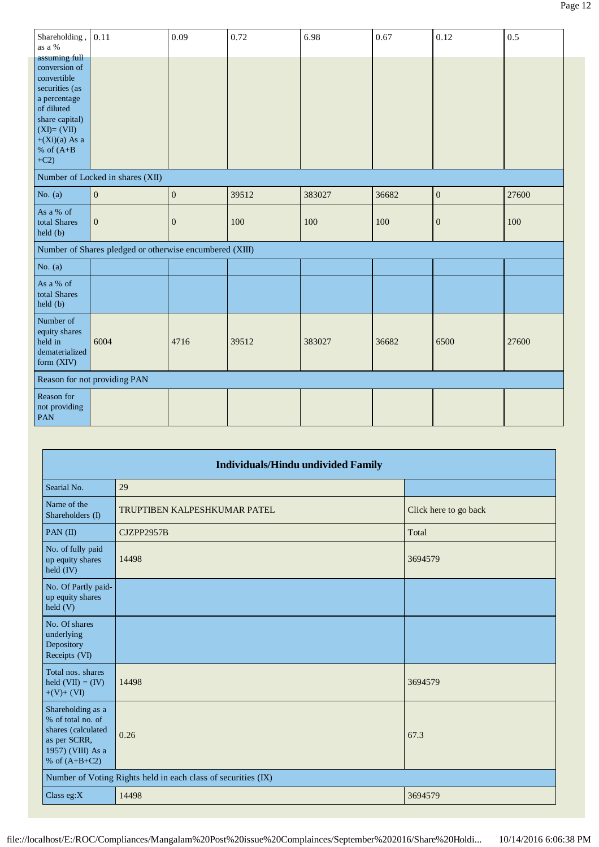| Shareholding,<br>as a %                                                                                                                                                     | 0.11                                                    | 0.09             | 0.72  | 6.98   | 0.67  | 0.12             | 0.5   |
|-----------------------------------------------------------------------------------------------------------------------------------------------------------------------------|---------------------------------------------------------|------------------|-------|--------|-------|------------------|-------|
| assuming full<br>conversion of<br>convertible<br>securities (as<br>a percentage<br>of diluted<br>share capital)<br>$(XI)=(VII)$<br>$+(Xi)(a)$ As a<br>% of $(A+B)$<br>$+C2$ |                                                         |                  |       |        |       |                  |       |
|                                                                                                                                                                             | Number of Locked in shares (XII)                        |                  |       |        |       |                  |       |
| No. $(a)$                                                                                                                                                                   | $\boldsymbol{0}$                                        | $\boldsymbol{0}$ | 39512 | 383027 | 36682 | $\boldsymbol{0}$ | 27600 |
| As a % of<br>total Shares<br>held(b)                                                                                                                                        | $\mathbf{0}$                                            | $\mathbf{0}$     | 100   | 100    | 100   | $\mathbf{0}$     | 100   |
|                                                                                                                                                                             | Number of Shares pledged or otherwise encumbered (XIII) |                  |       |        |       |                  |       |
| No. $(a)$                                                                                                                                                                   |                                                         |                  |       |        |       |                  |       |
| As a % of<br>total Shares<br>held (b)                                                                                                                                       |                                                         |                  |       |        |       |                  |       |
| Number of<br>equity shares<br>held in<br>dematerialized<br>form (XIV)                                                                                                       | 6004                                                    | 4716             | 39512 | 383027 | 36682 | 6500             | 27600 |
|                                                                                                                                                                             | Reason for not providing PAN                            |                  |       |        |       |                  |       |
| Reason for<br>not providing<br>PAN                                                                                                                                          |                                                         |                  |       |        |       |                  |       |

|                                                                                                                      | <b>Individuals/Hindu undivided Family</b>                     |                       |  |  |  |  |
|----------------------------------------------------------------------------------------------------------------------|---------------------------------------------------------------|-----------------------|--|--|--|--|
| Searial No.                                                                                                          | 29                                                            |                       |  |  |  |  |
| Name of the<br>Shareholders (I)                                                                                      | TRUPTIBEN KALPESHKUMAR PATEL                                  | Click here to go back |  |  |  |  |
| PAN $(II)$                                                                                                           | CJZPP2957B                                                    | Total                 |  |  |  |  |
| No. of fully paid<br>up equity shares<br>held (IV)                                                                   | 14498                                                         | 3694579               |  |  |  |  |
| No. Of Partly paid-<br>up equity shares<br>held (V)                                                                  |                                                               |                       |  |  |  |  |
| No. Of shares<br>underlying<br>Depository<br>Receipts (VI)                                                           |                                                               |                       |  |  |  |  |
| Total nos. shares<br>held $(VII) = (IV)$<br>$+(V)+(VI)$                                                              | 14498                                                         | 3694579               |  |  |  |  |
| Shareholding as a<br>% of total no. of<br>shares (calculated<br>as per SCRR,<br>1957) (VIII) As a<br>% of $(A+B+C2)$ | 0.26                                                          | 67.3                  |  |  |  |  |
|                                                                                                                      | Number of Voting Rights held in each class of securities (IX) |                       |  |  |  |  |
| Class eg: $X$                                                                                                        | 14498                                                         | 3694579               |  |  |  |  |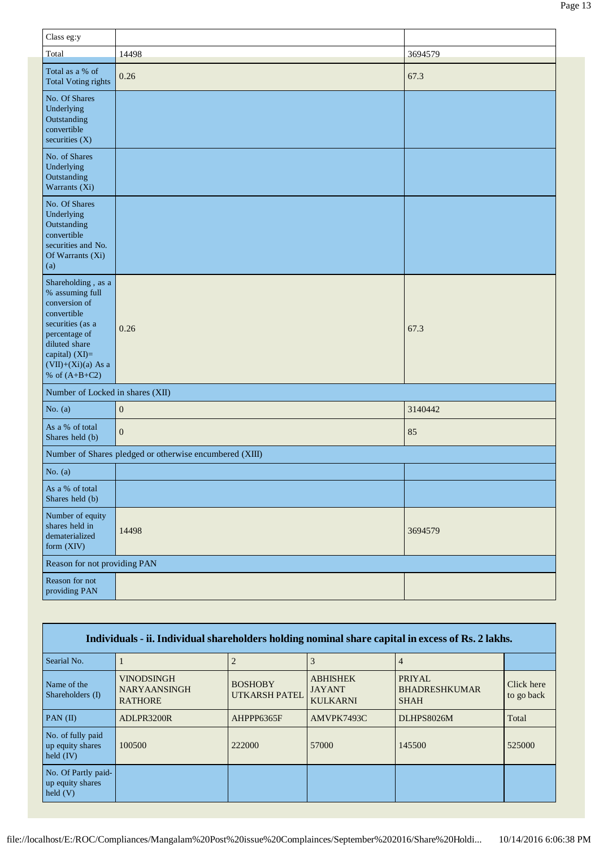| Class eg:y                                                                                                                                                                               |                                                         |         |
|------------------------------------------------------------------------------------------------------------------------------------------------------------------------------------------|---------------------------------------------------------|---------|
| Total                                                                                                                                                                                    | 14498                                                   | 3694579 |
| Total as a % of<br><b>Total Voting rights</b>                                                                                                                                            | 0.26                                                    | 67.3    |
| No. Of Shares<br>Underlying<br>Outstanding<br>convertible<br>securities $(X)$                                                                                                            |                                                         |         |
| No. of Shares<br>Underlying<br>Outstanding<br>Warrants (Xi)                                                                                                                              |                                                         |         |
| No. Of Shares<br>Underlying<br>Outstanding<br>convertible<br>securities and No.<br>Of Warrants (Xi)<br>(a)                                                                               |                                                         |         |
| Shareholding, as a<br>% assuming full<br>conversion of<br>convertible<br>securities (as a<br>percentage of<br>diluted share<br>capital) (XI)=<br>$(VII)+(Xi)(a)$ As a<br>% of $(A+B+C2)$ | 0.26                                                    | 67.3    |
| Number of Locked in shares (XII)                                                                                                                                                         |                                                         |         |
| No. $(a)$                                                                                                                                                                                | $\boldsymbol{0}$                                        | 3140442 |
| As a % of total<br>Shares held (b)                                                                                                                                                       | $\overline{0}$                                          | 85      |
|                                                                                                                                                                                          | Number of Shares pledged or otherwise encumbered (XIII) |         |
| No. $(a)$                                                                                                                                                                                |                                                         |         |
| As a % of total<br>Shares held (b)                                                                                                                                                       |                                                         |         |
| Number of equity<br>shares held in<br>dematerialized<br>form (XIV)                                                                                                                       | 14498                                                   | 3694579 |
| Reason for not providing PAN                                                                                                                                                             |                                                         |         |
| Reason for not<br>providing PAN                                                                                                                                                          |                                                         |         |

| Individuals - ii. Individual shareholders holding nominal share capital in excess of Rs. 2 lakhs. |                                                     |                                 |                                                     |                                                      |                          |  |
|---------------------------------------------------------------------------------------------------|-----------------------------------------------------|---------------------------------|-----------------------------------------------------|------------------------------------------------------|--------------------------|--|
| Searial No.                                                                                       |                                                     |                                 |                                                     | 4                                                    |                          |  |
| Name of the<br>Shareholders (I)                                                                   | VINODSINGH<br><b>NARYAANSINGH</b><br><b>RATHORE</b> | <b>BOSHOBY</b><br>UTKARSH PATEL | <b>ABHISHEK</b><br><b>JAYANT</b><br><b>KULKARNI</b> | <b>PRIYAL</b><br><b>BHADRESHKUMAR</b><br><b>SHAH</b> | Click here<br>to go back |  |
| $PAN$ (II)                                                                                        | ADLPR3200R                                          | AHPPP6365F                      | AMVPK7493C                                          | <b>DLHPS8026M</b>                                    | Total                    |  |
| No. of fully paid<br>up equity shares<br>held $(IV)$                                              | 100500                                              | 222000                          | 57000                                               | 145500                                               | 525000                   |  |
| No. Of Partly paid-<br>up equity shares<br>held $(V)$                                             |                                                     |                                 |                                                     |                                                      |                          |  |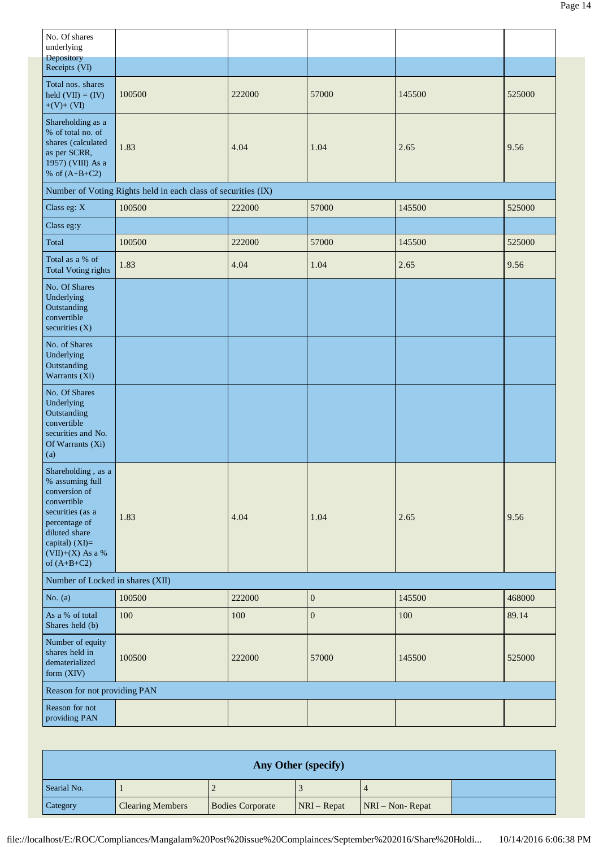| No. Of shares<br>underlying<br>Depository                                                                                                                                            |                                                               |        |                  |        |        |
|--------------------------------------------------------------------------------------------------------------------------------------------------------------------------------------|---------------------------------------------------------------|--------|------------------|--------|--------|
| Receipts (VI)                                                                                                                                                                        |                                                               |        |                  |        |        |
| Total nos. shares<br>held $(VII) = (IV)$<br>$+(V)+(VI)$                                                                                                                              | 100500                                                        | 222000 | 57000            | 145500 | 525000 |
| Shareholding as a<br>% of total no. of<br>shares (calculated<br>as per SCRR,<br>1957) (VIII) As a<br>% of $(A+B+C2)$                                                                 | 1.83                                                          | 4.04   | 1.04             | 2.65   | 9.56   |
|                                                                                                                                                                                      | Number of Voting Rights held in each class of securities (IX) |        |                  |        |        |
| Class eg: X                                                                                                                                                                          | 100500                                                        | 222000 | 57000            | 145500 | 525000 |
| Class eg:y                                                                                                                                                                           |                                                               |        |                  |        |        |
| Total                                                                                                                                                                                | 100500                                                        | 222000 | 57000            | 145500 | 525000 |
| Total as a % of<br><b>Total Voting rights</b>                                                                                                                                        | 1.83                                                          | 4.04   | 1.04             | 2.65   | 9.56   |
| No. Of Shares<br>Underlying<br>Outstanding<br>convertible<br>securities $(X)$                                                                                                        |                                                               |        |                  |        |        |
| No. of Shares<br>Underlying<br>Outstanding<br>Warrants (Xi)                                                                                                                          |                                                               |        |                  |        |        |
| No. Of Shares<br>Underlying<br>Outstanding<br>convertible<br>securities and No.<br>Of Warrants (Xi)<br>(a)                                                                           |                                                               |        |                  |        |        |
| Shareholding, as a<br>% assuming full<br>conversion of<br>convertible<br>securities (as a<br>percentage of<br>diluted share<br>capital) (XI)=<br>$(VII)+(X)$ As a %<br>of $(A+B+C2)$ | 1.83                                                          | 4.04   | 1.04             | 2.65   | 9.56   |
| Number of Locked in shares (XII)                                                                                                                                                     |                                                               |        |                  |        |        |
| No. $(a)$                                                                                                                                                                            | 100500                                                        | 222000 | $\boldsymbol{0}$ | 145500 | 468000 |
| As a % of total<br>Shares held (b)                                                                                                                                                   | 100                                                           | 100    | $\boldsymbol{0}$ | 100    | 89.14  |
| Number of equity<br>shares held in<br>dematerialized<br>form (XIV)                                                                                                                   | 100500                                                        | 222000 | 57000            | 145500 | 525000 |
| Reason for not providing PAN                                                                                                                                                         |                                                               |        |                  |        |        |
| Reason for not<br>providing PAN                                                                                                                                                      |                                                               |        |                  |        |        |

| Any Other (specify) |                         |                         |               |                    |  |  |
|---------------------|-------------------------|-------------------------|---------------|--------------------|--|--|
| Searial No.         |                         |                         |               |                    |  |  |
| Category            | <b>Clearing Members</b> | <b>Bodies Corporate</b> | $NRI - Repat$ | $NRI - Non-Repeat$ |  |  |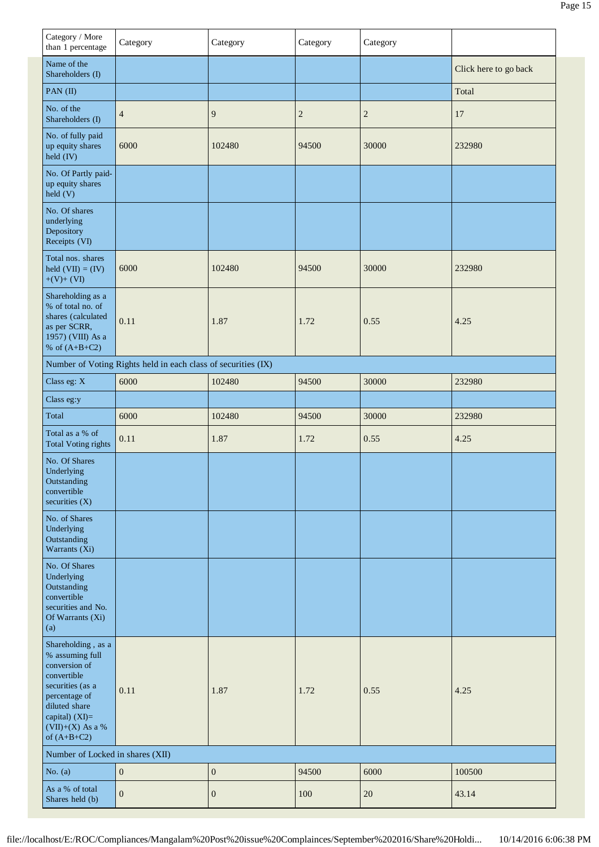| Category / More<br>than 1 percentage                                                                                                                                               | Category                                                      | Category         | Category       | Category       |                       |
|------------------------------------------------------------------------------------------------------------------------------------------------------------------------------------|---------------------------------------------------------------|------------------|----------------|----------------|-----------------------|
| Name of the<br>Shareholders (I)                                                                                                                                                    |                                                               |                  |                |                | Click here to go back |
| PAN (II)                                                                                                                                                                           |                                                               |                  |                |                | Total                 |
| No. of the<br>Shareholders (I)                                                                                                                                                     | $\overline{4}$                                                | 9                | $\overline{2}$ | $\overline{c}$ | 17                    |
| No. of fully paid<br>up equity shares<br>held (IV)                                                                                                                                 | 6000                                                          | 102480           | 94500          | 30000          | 232980                |
| No. Of Partly paid-<br>up equity shares<br>held (V)                                                                                                                                |                                                               |                  |                |                |                       |
| No. Of shares<br>underlying<br>Depository<br>Receipts (VI)                                                                                                                         |                                                               |                  |                |                |                       |
| Total nos. shares<br>held $(VII) = (IV)$<br>$+(V)+(VI)$                                                                                                                            | 6000                                                          | 102480           | 94500          | 30000          | 232980                |
| Shareholding as a<br>% of total no. of<br>shares (calculated<br>as per SCRR,<br>1957) (VIII) As a<br>% of $(A+B+C2)$                                                               | 0.11                                                          | 1.87             | 1.72           | 0.55           | 4.25                  |
|                                                                                                                                                                                    | Number of Voting Rights held in each class of securities (IX) |                  |                |                |                       |
| Class eg: X                                                                                                                                                                        | 6000                                                          | 102480           | 94500          | 30000          | 232980                |
| Class eg:y                                                                                                                                                                         |                                                               |                  |                |                |                       |
| Total                                                                                                                                                                              | 6000                                                          | 102480           | 94500          | 30000          | 232980                |
| Total as a % of<br><b>Total Voting rights</b>                                                                                                                                      | 0.11                                                          | 1.87             | 1.72           | 0.55           | 4.25                  |
| No. Of Shares<br>Underlying<br>Outstanding<br>convertible<br>securities $(X)$                                                                                                      |                                                               |                  |                |                |                       |
| No. of Shares<br>Underlying<br>Outstanding<br>Warrants (Xi)                                                                                                                        |                                                               |                  |                |                |                       |
| No. Of Shares<br>Underlying<br>Outstanding<br>convertible<br>securities and No.<br>Of Warrants (Xi)<br>(a)                                                                         |                                                               |                  |                |                |                       |
| Shareholding, as a<br>% assuming full<br>conversion of<br>convertible<br>securities (as a<br>percentage of<br>diluted share<br>capital) (XI)=<br>(VII)+(X) As a %<br>of $(A+B+C2)$ | 0.11                                                          | 1.87             | 1.72           | 0.55           | 4.25                  |
| Number of Locked in shares (XII)                                                                                                                                                   |                                                               |                  |                |                |                       |
| No. $(a)$                                                                                                                                                                          | $\boldsymbol{0}$                                              | $\boldsymbol{0}$ | 94500          | 6000           | 100500                |
| As a % of total<br>Shares held (b)                                                                                                                                                 | $\boldsymbol{0}$                                              | $\boldsymbol{0}$ | 100            | $20\,$         | 43.14                 |